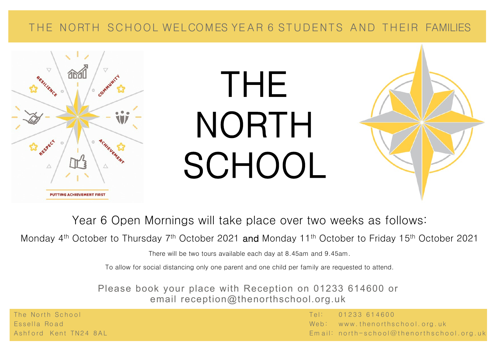## THE NORTH SCHOOL WELCOMES YEAR 6 STUDENTS AND THEIR FAMILIES



## THE NORTH SCHOOL



Year 6 Open Mornings will take place over two weeks as follows:

Monday 4<sup>th</sup> October to Thursday 7<sup>th</sup> October 2021 and Monday 11<sup>th</sup> October to Friday 15<sup>th</sup> October 2021

There will be two tours available each day at 8.45am and 9.45am.

To allow for social distancing only one parent and one child per family are requested to attend.

Please book your place with Reception on 01233 614600 or email reception@thenorthschool.org.uk

The North School **Experiment Construction Construction** (Tel: 01233 614600  $\overline{0}$ Essella Road **de La Romana de La Road** est est al de la Road de La Road est al Web: www.thenorthschool.org.uk A shford Kent TN24 8AL Email: north-school@thenorthschool.org.uk